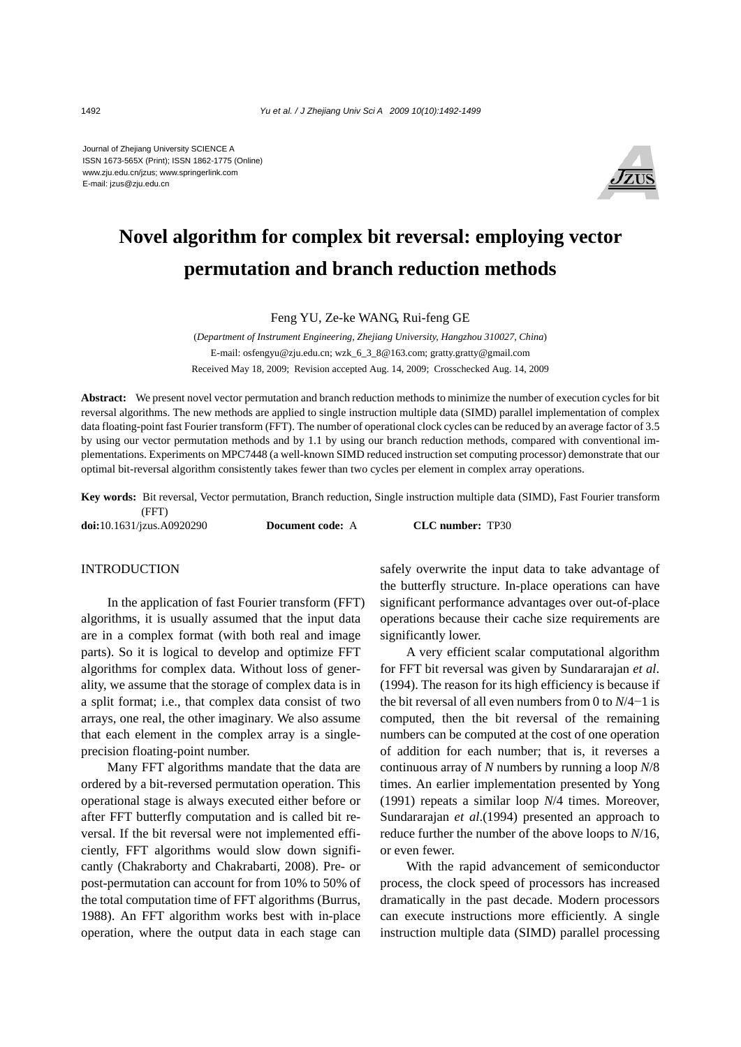Journal of Zhejiang University SCIENCE A ISSN 1673-565X (Print); ISSN 1862-1775 (Online) www.zju.edu.cn/jzus; www.springerlink.com E-mail: jzus@zju.edu.cn



# **Novel algorithm for complex bit reversal: employing vector permutation and branch reduction methods**

Feng YU, Ze-ke WANG, Rui-feng GE

(*Department of Instrument Engineering, Zhejiang University, Hangzhou 310027, China*) E-mail: osfengyu@zju.edu.cn; wzk\_6\_3\_8@163.com; gratty.gratty@gmail.com Received May 18, 2009; Revision accepted Aug. 14, 2009; Crosschecked Aug. 14, 2009

**Abstract:** We present novel vector permutation and branch reduction methods to minimize the number of execution cycles for bit reversal algorithms. The new methods are applied to single instruction multiple data (SIMD) parallel implementation of complex data floating-point fast Fourier transform (FFT). The number of operational clock cycles can be reduced by an average factor of 3.5 by using our vector permutation methods and by 1.1 by using our branch reduction methods, compared with conventional implementations. Experiments on MPC7448 (a well-known SIMD reduced instruction set computing processor) demonstrate that our optimal bit-reversal algorithm consistently takes fewer than two cycles per element in complex array operations.

**Key words:** Bit reversal, Vector permutation, Branch reduction, Single instruction multiple data (SIMD), Fast Fourier transform (FFT)

**doi:**10.1631/jzus.A0920290 **Document code:** A **CLC number:** TP30

#### **INTRODUCTION**

In the application of fast Fourier transform (FFT) algorithms, it is usually assumed that the input data are in a complex format (with both real and image parts). So it is logical to develop and optimize FFT algorithms for complex data. Without loss of generality, we assume that the storage of complex data is in a split format; i.e., that complex data consist of two arrays, one real, the other imaginary. We also assume that each element in the complex array is a singleprecision floating-point number.

Many FFT algorithms mandate that the data are ordered by a bit-reversed permutation operation. This operational stage is always executed either before or after FFT butterfly computation and is called bit reversal. If the bit reversal were not implemented efficiently, FFT algorithms would slow down significantly (Chakraborty and Chakrabarti, 2008). Pre- or post-permutation can account for from 10% to 50% of the total computation time of FFT algorithms (Burrus, 1988). An FFT algorithm works best with in-place operation, where the output data in each stage can safely overwrite the input data to take advantage of the butterfly structure. In-place operations can have significant performance advantages over out-of-place operations because their cache size requirements are significantly lower.

A very efficient scalar computational algorithm for FFT bit reversal was given by Sundararajan *et al*. (1994). The reason for its high efficiency is because if the bit reversal of all even numbers from 0 to *N*/4−1 is computed, then the bit reversal of the remaining numbers can be computed at the cost of one operation of addition for each number; that is, it reverses a continuous array of *N* numbers by running a loop *N*/8 times. An earlier implementation presented by Yong (1991) repeats a similar loop *N*/4 times. Moreover, Sundararajan *et al*.(1994) presented an approach to reduce further the number of the above loops to *N*/16, or even fewer.

With the rapid advancement of semiconductor process, the clock speed of processors has increased dramatically in the past decade. Modern processors can execute instructions more efficiently. A single instruction multiple data (SIMD) parallel processing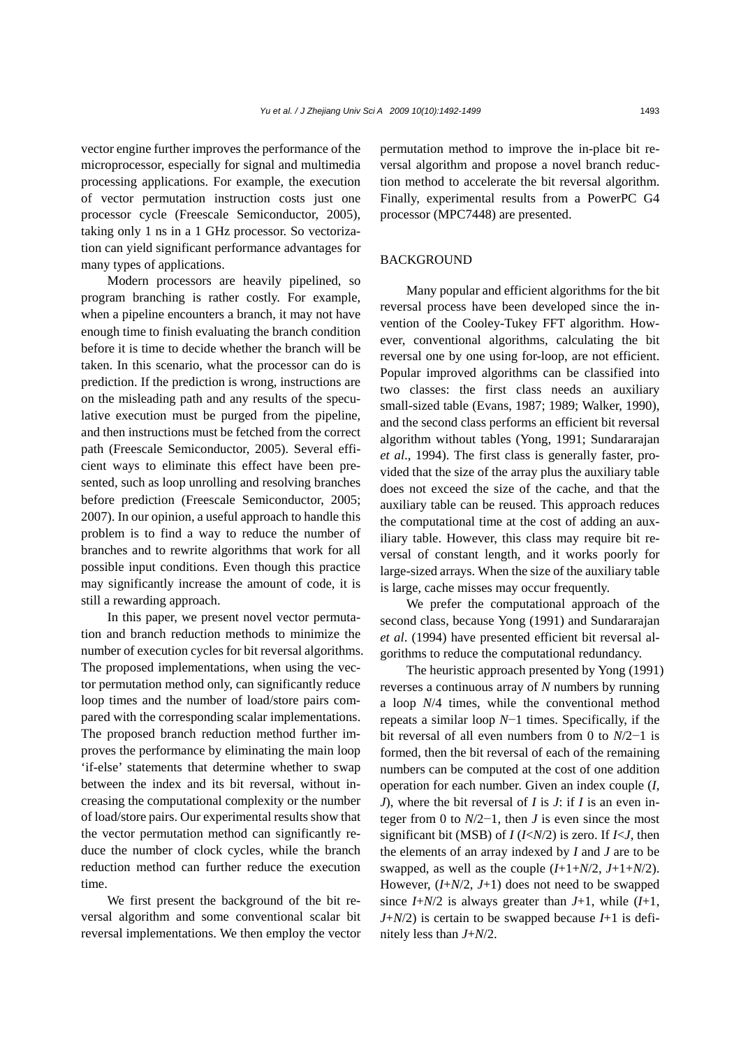vector engine further improves the performance of the microprocessor, especially for signal and multimedia processing applications. For example, the execution of vector permutation instruction costs just one processor cycle (Freescale Semiconductor, 2005), taking only 1 ns in a 1 GHz processor. So vectorization can yield significant performance advantages for many types of applications.

Modern processors are heavily pipelined, so program branching is rather costly. For example, when a pipeline encounters a branch, it may not have enough time to finish evaluating the branch condition before it is time to decide whether the branch will be taken. In this scenario, what the processor can do is prediction. If the prediction is wrong, instructions are on the misleading path and any results of the speculative execution must be purged from the pipeline, and then instructions must be fetched from the correct path (Freescale Semiconductor, 2005). Several efficient ways to eliminate this effect have been presented, such as loop unrolling and resolving branches before prediction (Freescale Semiconductor, 2005; 2007). In our opinion, a useful approach to handle this problem is to find a way to reduce the number of branches and to rewrite algorithms that work for all possible input conditions. Even though this practice may significantly increase the amount of code, it is still a rewarding approach.

In this paper, we present novel vector permutation and branch reduction methods to minimize the number of execution cycles for bit reversal algorithms. The proposed implementations, when using the vector permutation method only, can significantly reduce loop times and the number of load/store pairs compared with the corresponding scalar implementations. The proposed branch reduction method further improves the performance by eliminating the main loop 'if-else' statements that determine whether to swap between the index and its bit reversal, without increasing the computational complexity or the number of load/store pairs. Our experimental results show that the vector permutation method can significantly reduce the number of clock cycles, while the branch reduction method can further reduce the execution time.

We first present the background of the bit reversal algorithm and some conventional scalar bit reversal implementations. We then employ the vector permutation method to improve the in-place bit reversal algorithm and propose a novel branch reduction method to accelerate the bit reversal algorithm. Finally, experimental results from a PowerPC G4 processor (MPC7448) are presented.

#### **BACKGROUND**

Many popular and efficient algorithms for the bit reversal process have been developed since the invention of the Cooley-Tukey FFT algorithm. However, conventional algorithms, calculating the bit reversal one by one using for-loop, are not efficient. Popular improved algorithms can be classified into two classes: the first class needs an auxiliary small-sized table (Evans, 1987; 1989; Walker, 1990), and the second class performs an efficient bit reversal algorithm without tables (Yong, 1991; Sundararajan *et al*., 1994). The first class is generally faster, provided that the size of the array plus the auxiliary table does not exceed the size of the cache, and that the auxiliary table can be reused. This approach reduces the computational time at the cost of adding an auxiliary table. However, this class may require bit reversal of constant length, and it works poorly for large-sized arrays. When the size of the auxiliary table is large, cache misses may occur frequently.

We prefer the computational approach of the second class, because Yong (1991) and Sundararajan *et al*. (1994) have presented efficient bit reversal algorithms to reduce the computational redundancy.

The heuristic approach presented by Yong (1991) reverses a continuous array of *N* numbers by running a loop *N*/4 times, while the conventional method repeats a similar loop *N*−1 times. Specifically, if the bit reversal of all even numbers from 0 to *N*/2−1 is formed, then the bit reversal of each of the remaining numbers can be computed at the cost of one addition operation for each number. Given an index couple (*I*, *J*), where the bit reversal of *I* is *J*: if *I* is an even integer from 0 to *N*/2−1, then *J* is even since the most significant bit (MSB) of *I* (*I*<*N*/2) is zero. If *I*<*J*, then the elements of an array indexed by *I* and *J* are to be swapped, as well as the couple  $(I+1+N/2, J+1+N/2)$ . However, (*I*+*N*/2, *J*+1) does not need to be swapped since *I*+*N*/2 is always greater than *J*+1, while (*I*+1, *J*+*N*/2) is certain to be swapped because *I*+1 is definitely less than *J*+*N*/2.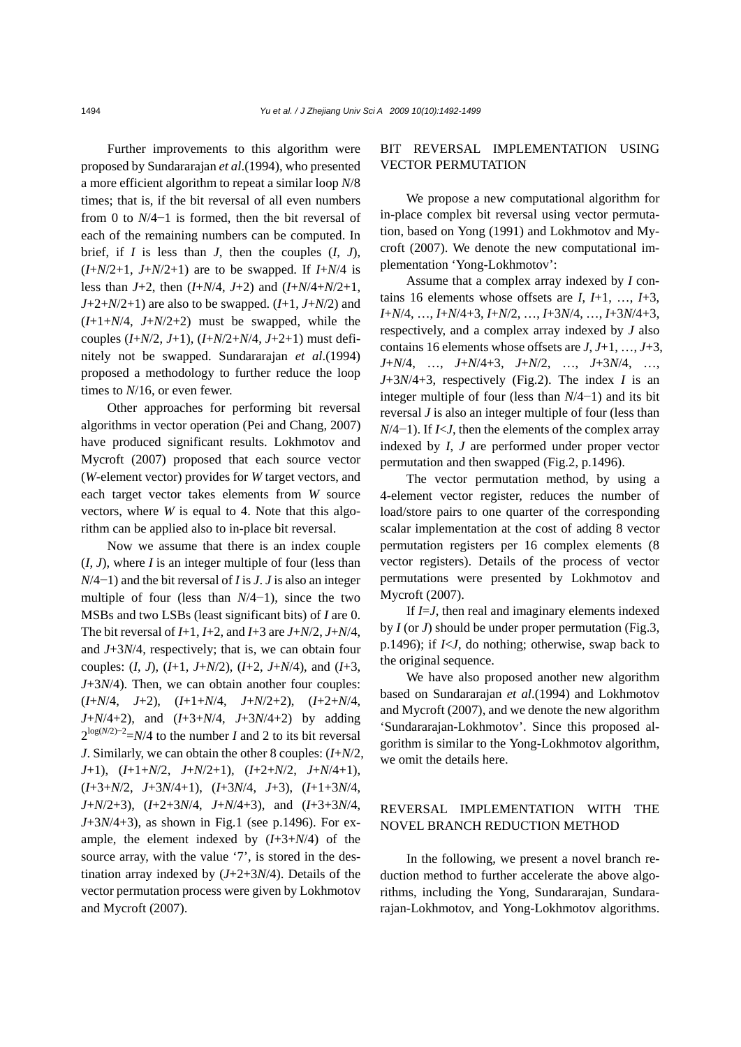Further improvements to this algorithm were proposed by Sundararajan *et al*.(1994), who presented a more efficient algorithm to repeat a similar loop *N*/8 times; that is, if the bit reversal of all even numbers from 0 to *N*/4−1 is formed, then the bit reversal of each of the remaining numbers can be computed. In brief, if  $I$  is less than  $J$ , then the couples  $(I, J)$ ,  $(I+N/2+1, J+N/2+1)$  are to be swapped. If  $I+N/4$  is less than *J*+2, then (*I*+*N*/4, *J*+2) and (*I*+*N*/4+*N*/2+1, *J*+2+*N*/2+1) are also to be swapped. (*I*+1, *J*+*N*/2) and  $(I+1+N/4, J+N/2+2)$  must be swapped, while the couples (*I*+*N*/2, *J*+1), (*I*+*N*/2+*N*/4, *J*+2+1) must definitely not be swapped. Sundararajan *et al*.(1994) proposed a methodology to further reduce the loop times to *N*/16, or even fewer.

Other approaches for performing bit reversal algorithms in vector operation (Pei and Chang, 2007) have produced significant results. Lokhmotov and Mycroft (2007) proposed that each source vector (*W*-element vector) provides for *W* target vectors, and each target vector takes elements from *W* source vectors, where *W* is equal to 4. Note that this algorithm can be applied also to in-place bit reversal.

Now we assume that there is an index couple (*I*, *J*), where *I* is an integer multiple of four (less than *N*/4−1) and the bit reversal of *I* is *J*. *J* is also an integer multiple of four (less than *N*/4−1), since the two MSBs and two LSBs (least significant bits) of *I* are 0. The bit reversal of *I*+1, *I*+2, and *I*+3 are *J*+*N*/2, *J*+*N*/4, and *J*+3*N*/4, respectively; that is, we can obtain four couples: (*I*, *J*), (*I*+1, *J*+*N*/2), (*I*+2, *J*+*N*/4), and (*I*+3, *J*+3*N*/4). Then, we can obtain another four couples: (*I*+*N*/4, *J*+2), (*I*+1+*N*/4, *J*+*N*/2+2), (*I*+2+*N*/4, *J*+*N*/4+2), and (*I*+3+*N*/4, *J*+3*N*/4+2) by adding 2log(*N*/2)−<sup>2</sup> =*N*/4 to the number *I* and 2 to its bit reversal *J*. Similarly, we can obtain the other 8 couples: (*I*+*N*/2, *J*+1), (*I*+1+*N*/2, *J*+*N*/2+1), (*I*+2+*N*/2, *J*+*N*/4+1), (*I*+3+*N*/2, *J*+3*N*/4+1), (*I*+3*N*/4, *J*+3), (*I*+1+3*N*/4, *J*+*N*/2+3), (*I*+2+3*N*/4, *J*+*N*/4+3), and (*I*+3+3*N*/4, *J*+3*N*/4+3), as shown in Fig.1 (see p.1496). For example, the element indexed by (*I*+3+*N*/4) of the source array, with the value '7', is stored in the destination array indexed by (*J*+2+3*N*/4). Details of the vector permutation process were given by Lokhmotov and Mycroft (2007).

## BIT REVERSAL IMPLEMENTATION USING VECTOR PERMUTATION

We propose a new computational algorithm for in-place complex bit reversal using vector permutation, based on Yong (1991) and Lokhmotov and Mycroft (2007). We denote the new computational implementation 'Yong-Lokhmotov':

Assume that a complex array indexed by *I* contains 16 elements whose offsets are *I*, *I*+1, …, *I*+3, *I*+*N*/4, …, *I*+*N*/4+3, *I*+*N*/2, …, *I*+3*N*/4, …, *I*+3*N*/4+3, respectively, and a complex array indexed by *J* also contains 16 elements whose offsets are *J*, *J*+1, …, *J*+3, *J*+*N*/4, …, *J*+*N*/4+3, *J*+*N*/2, …, *J*+3*N*/4, …, *J*+3*N*/4+3, respectively (Fig.2). The index *I* is an integer multiple of four (less than *N*/4−1) and its bit reversal *J* is also an integer multiple of four (less than *N*/4−1). If *I<J*, then the elements of the complex array indexed by *I*, *J* are performed under proper vector permutation and then swapped (Fig.2, p.1496).

The vector permutation method, by using a 4-element vector register, reduces the number of load/store pairs to one quarter of the corresponding scalar implementation at the cost of adding 8 vector permutation registers per 16 complex elements (8 vector registers). Details of the process of vector permutations were presented by Lokhmotov and Mycroft (2007).

If *I=J*, then real and imaginary elements indexed by *I* (or *J*) should be under proper permutation (Fig.3, p.1496); if *I*<*J*, do nothing; otherwise, swap back to the original sequence.

We have also proposed another new algorithm based on Sundararajan *et al*.(1994) and Lokhmotov and Mycroft (2007), and we denote the new algorithm 'Sundararajan-Lokhmotov'. Since this proposed algorithm is similar to the Yong-Lokhmotov algorithm, we omit the details here.

### REVERSAL IMPLEMENTATION WITH THE NOVEL BRANCH REDUCTION METHOD

In the following, we present a novel branch reduction method to further accelerate the above algorithms, including the Yong, Sundararajan, Sundararajan-Lokhmotov, and Yong-Lokhmotov algorithms.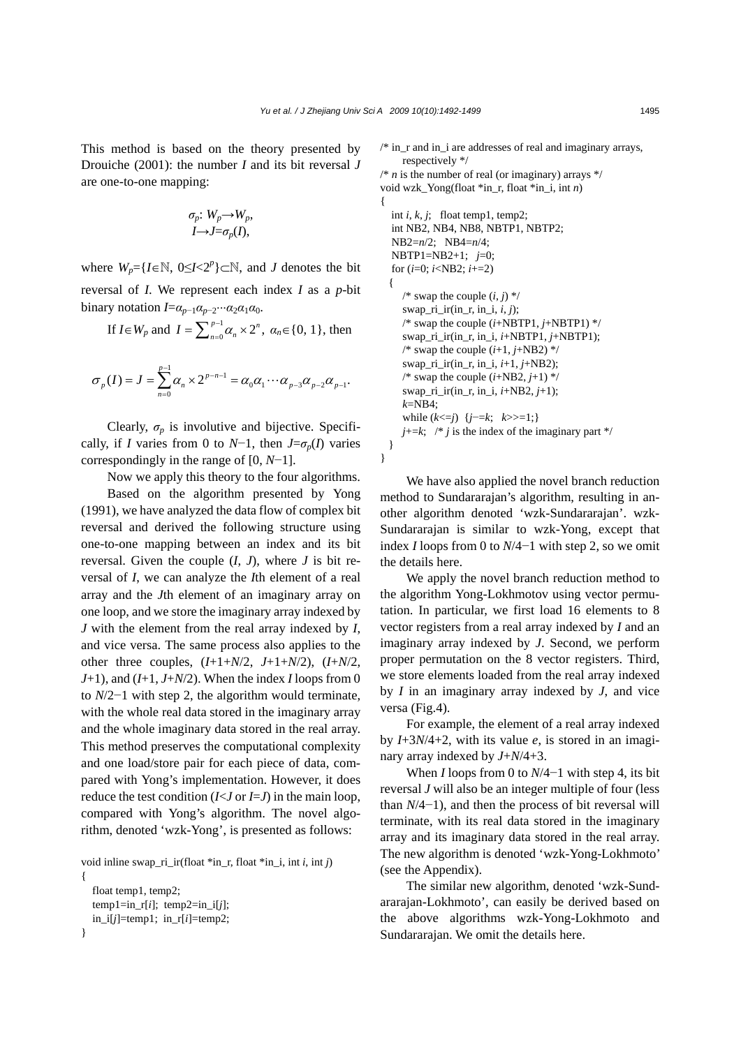This method is based on the theory presented by Drouiche (2001): the number *I* and its bit reversal *J* are one-to-one mapping:

$$
\sigma_p: W_p {\rightarrow} W_p,
$$
  

$$
I {\rightarrow} J = \sigma_p(I),
$$

where  $W_p = \{I \in \mathbb{N}, 0 \leq I \leq 2^p\} \subset \mathbb{N}$ , and *J* denotes the bit reversal of *I*. We represent each index *I* as a *p*-bit binary notation  $I = \alpha_{p-1} \alpha_{p-2} \cdots \alpha_2 \alpha_1 \alpha_0$ .

If 
$$
I \in W_p
$$
 and  $I = \sum_{n=0}^{p-1} \alpha_n \times 2^n$ ,  $\alpha_n \in \{0, 1\}$ , then

$$
\sigma_p(I) = J = \sum_{n=0}^{p-1} \alpha_n \times 2^{p-n-1} = \alpha_0 \alpha_1 \cdots \alpha_{p-3} \alpha_{p-2} \alpha_{p-1}.
$$

Clearly,  $\sigma_p$  is involutive and bijective. Specifically, if *I* varies from 0 to *N*−1, then  $J = \sigma_p(I)$  varies correspondingly in the range of [0, *N*−1].

Now we apply this theory to the four algorithms.

Based on the algorithm presented by Yong (1991), we have analyzed the data flow of complex bit reversal and derived the following structure using one-to-one mapping between an index and its bit reversal. Given the couple (*I*, *J*), where *J* is bit reversal of *I*, we can analyze the *I*th element of a real array and the *J*th element of an imaginary array on one loop, and we store the imaginary array indexed by *J* with the element from the real array indexed by *I*, and vice versa. The same process also applies to the other three couples, (*I*+1+*N*/2, *J*+1+*N*/2), (*I*+*N*/2, *J*+1), and (*I*+1, *J*+*N*/2). When the index *I* loops from 0 to *N*/2−1 with step 2, the algorithm would terminate, with the whole real data stored in the imaginary array and the whole imaginary data stored in the real array. This method preserves the computational complexity and one load/store pair for each piece of data, compared with Yong's implementation. However, it does reduce the test condition  $(I < J$  or  $I = J$ ) in the main loop, compared with Yong's algorithm. The novel algorithm, denoted 'wzk-Yong', is presented as follows:

void inline swap\_ri\_ir(float \*in\_r, float \*in\_i, int *i*, int *j*)

```
float temp1, temp2; 
  temp1=in_r[i]; temp2=in_i[j];
  in_i[j]=temp1; in_r[i]=temp2;
}
```
{

 $/*$  in r and in i are addresses of real and imaginary arrays, respectively \*/  $\frac{1}{\pi}$  *n* is the number of real (or imaginary) arrays  $\frac{1}{\pi}$ void wzk\_Yong(float \*in\_r, float \*in\_i, int *n*) { int *i*, *k*, *j*; float temp1, temp2; int NB2, NB4, NB8, NBTP1, NBTP2; NB2=*n*/2; NB4=*n*/4; NBTP1=NB2+1; *j*=0; for (*i*=0; *i*<NB2; *i*+=2) { /\* swap the couple  $(i, j)$  \*/ swap\_ri\_ir(in\_r, in\_i, *i*, *j*); /\* swap the couple (*i*+NBTP1, *j*+NBTP1) \*/ swap\_ri\_ir(in\_r, in\_i, *i*+NBTP1, *j*+NBTP1); /\* swap the couple  $(i+1, j+NB2)$  \*/ swap\_ri\_ir(in\_r, in\_i, *i*+1, *j*+NB2);  $/*$  swap the couple  $(i+NB2, j+1)$  \*/ swap ri ir(in r, in i,  $i+NB2$ ,  $j+1$ ); *k*=NB4; while  $(k \leq j)$  { $j = k; k \geq 1;$ }  $j+=k$ ; /\* *j* is the index of the imaginary part \*/ }

}

We have also applied the novel branch reduction method to Sundararajan's algorithm, resulting in another algorithm denoted 'wzk-Sundararajan'. wzk-Sundararajan is similar to wzk-Yong, except that index *I* loops from 0 to *N*/4−1 with step 2, so we omit the details here.

We apply the novel branch reduction method to the algorithm Yong-Lokhmotov using vector permutation. In particular, we first load 16 elements to 8 vector registers from a real array indexed by *I* and an imaginary array indexed by *J*. Second, we perform proper permutation on the 8 vector registers. Third, we store elements loaded from the real array indexed by *I* in an imaginary array indexed by *J*, and vice versa (Fig.4).

For example, the element of a real array indexed by *I*+3*N*/4+2, with its value *e*, is stored in an imaginary array indexed by *J*+*N*/4+3.

When *I* loops from 0 to *N*/4−1 with step 4, its bit reversal *J* will also be an integer multiple of four (less than *N*/4−1), and then the process of bit reversal will terminate, with its real data stored in the imaginary array and its imaginary data stored in the real array. The new algorithm is denoted 'wzk-Yong-Lokhmoto' (see the Appendix).

The similar new algorithm, denoted 'wzk-Sundararajan-Lokhmoto', can easily be derived based on the above algorithms wzk-Yong-Lokhmoto and Sundararajan. We omit the details here.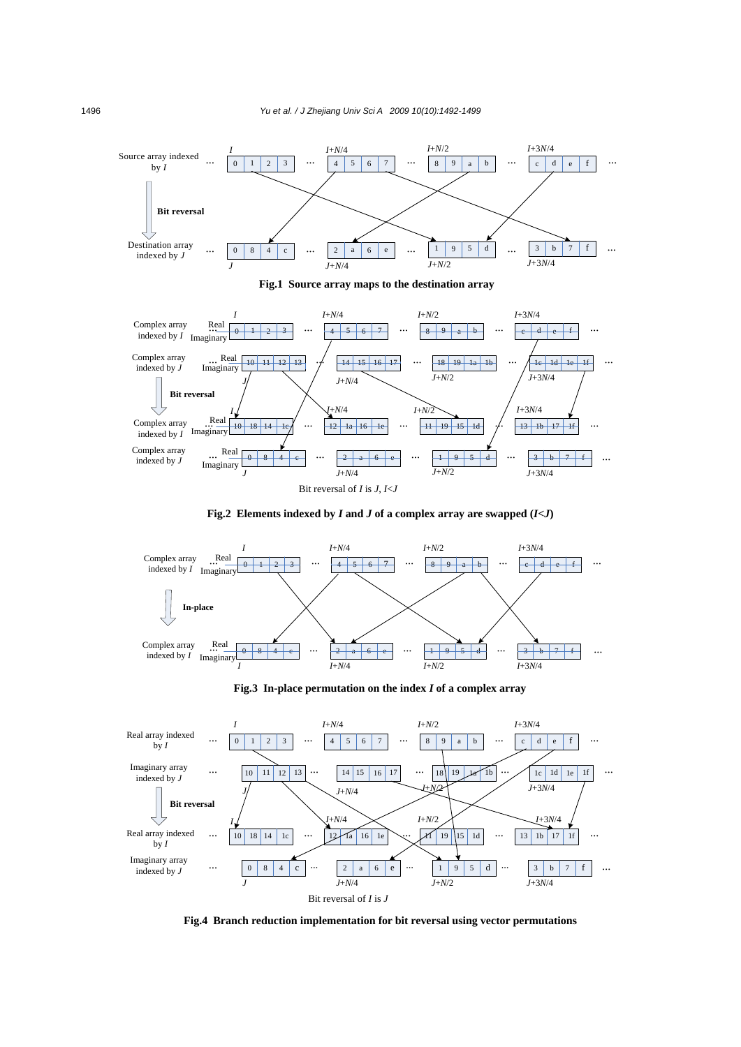

**Fig.2** Elements indexed by *I* and *J* of a complex array are swapped  $(I < J)$ 



**Fig.3 In-place permutation on the index** *I* **of a complex array** 



**Fig.4 Branch reduction implementation for bit reversal using vector permutations**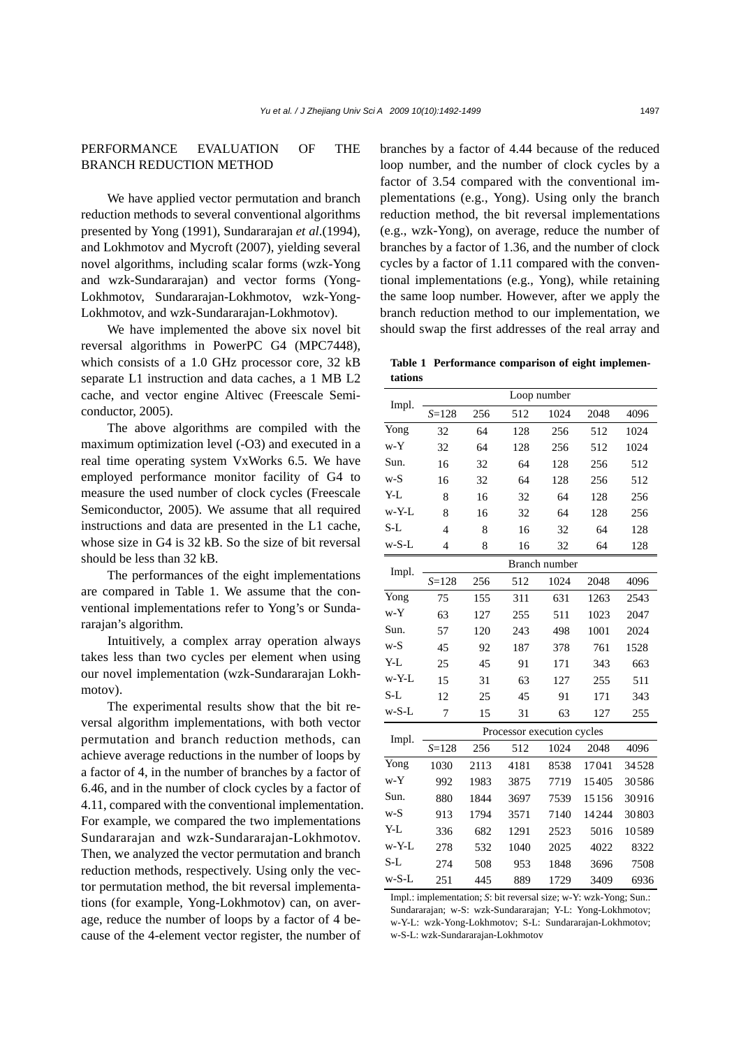## PERFORMANCE EVALUATION OF THE BRANCH REDUCTION METHOD

We have applied vector permutation and branch reduction methods to several conventional algorithms presented by Yong (1991), Sundararajan *et al*.(1994), and Lokhmotov and Mycroft (2007), yielding several novel algorithms, including scalar forms (wzk-Yong and wzk-Sundararajan) and vector forms (Yong-Lokhmotov, Sundararajan-Lokhmotov, wzk-Yong-Lokhmotov, and wzk-Sundararajan-Lokhmotov).

We have implemented the above six novel bit reversal algorithms in PowerPC G4 (MPC7448), which consists of a 1.0 GHz processor core, 32 kB separate L1 instruction and data caches, a 1 MB L2 cache, and vector engine Altivec (Freescale Semiconductor, 2005).

The above algorithms are compiled with the maximum optimization level (-O3) and executed in a real time operating system VxWorks 6.5. We have employed performance monitor facility of G4 to measure the used number of clock cycles (Freescale Semiconductor, 2005). We assume that all required instructions and data are presented in the L1 cache, whose size in G4 is 32 kB. So the size of bit reversal should be less than 32 kB.

The performances of the eight implementations are compared in Table 1. We assume that the conventional implementations refer to Yong's or Sundararajan's algorithm.

Intuitively, a complex array operation always takes less than two cycles per element when using our novel implementation (wzk-Sundararajan Lokhmotov).

The experimental results show that the bit reversal algorithm implementations, with both vector permutation and branch reduction methods, can achieve average reductions in the number of loops by a factor of 4, in the number of branches by a factor of 6.46, and in the number of clock cycles by a factor of 4.11, compared with the conventional implementation. For example, we compared the two implementations Sundararajan and wzk-Sundararajan-Lokhmotov. Then, we analyzed the vector permutation and branch reduction methods, respectively. Using only the vector permutation method, the bit reversal implementations (for example, Yong-Lokhmotov) can, on average, reduce the number of loops by a factor of 4 because of the 4-element vector register, the number of

branches by a factor of 4.44 because of the reduced loop number, and the number of clock cycles by a factor of 3.54 compared with the conventional implementations (e.g., Yong). Using only the branch reduction method, the bit reversal implementations (e.g., wzk-Yong), on average, reduce the number of branches by a factor of 1.36, and the number of clock cycles by a factor of 1.11 compared with the conventional implementations (e.g., Yong), while retaining the same loop number. However, after we apply the branch reduction method to our implementation, we should swap the first addresses of the real array and

**Table 1 Performance comparison of eight implementations**

| Impl.    | Loop number                |      |      |      |       |       |
|----------|----------------------------|------|------|------|-------|-------|
|          | $S = 128$                  | 256  | 512  | 1024 | 2048  | 4096  |
| Yong     | 32                         | 64   | 128  | 256  | 512   | 1024  |
| w-Y      | 32                         | 64   | 128  | 256  | 512   | 1024  |
| Sun.     | 16                         | 32   | 64   | 128  | 256   | 512   |
| $W-S$    | 16                         | 32   | 64   | 128  | 256   | 512   |
| Y-L      | 8                          | 16   | 32   | 64   | 128   | 256   |
| $w-Y-L$  | 8                          | 16   | 32   | 64   | 128   | 256   |
| S-L      | $\overline{4}$             | 8    | 16   | 32   | 64    | 128   |
| $w-S-L$  | $\overline{4}$             | 8    | 16   | 32   | 64    | 128   |
| Impl.    | Branch number              |      |      |      |       |       |
|          | $S = 128$                  | 256  | 512  | 1024 | 2048  | 4096  |
| Yong     | 75                         | 155  | 311  | 631  | 1263  | 2543  |
| w-Y      | 63                         | 127  | 255  | 511  | 1023  | 2047  |
| Sun.     | 57                         | 120  | 243  | 498  | 1001  | 2024  |
| $W-S$    | 45                         | 92   | 187  | 378  | 761   | 1528  |
| Y-L      | 25                         | 45   | 91   | 171  | 343   | 663   |
| $w-Y-L$  | 15                         | 31   | 63   | 127  | 255   | 511   |
| S-L      | 12                         | 25   | 45   | 91   | 171   | 343   |
| $w-S-L$  | 7                          | 15   | 31   | 63   | 127   | 255   |
| Impl.    | Processor execution cycles |      |      |      |       |       |
|          | $S = 128$                  | 256  | 512  | 1024 | 2048  | 4096  |
| Yong     | 1030                       | 2113 | 4181 | 8538 | 17041 | 34528 |
| $w-Y$    | 992                        | 1983 | 3875 | 7719 | 15405 | 30586 |
| Sun.     | 880                        | 1844 | 3697 | 7539 | 15156 | 30916 |
| $W-S$    | 913                        | 1794 | 3571 | 7140 | 14244 | 30803 |
| Y-L      | 336                        | 682  | 1291 | 2523 | 5016  | 10589 |
| $w$ -Y-L | 278                        | 532  | 1040 | 2025 | 4022  | 8322  |
| S-L      | 274                        | 508  | 953  | 1848 | 3696  | 7508  |
| $w-S-L$  | 251                        | 445  | 889  | 1729 | 3409  | 6936  |

Impl.: implementation; *S*: bit reversal size; w-Y: wzk-Yong; Sun.: Sundararajan; w-S: wzk-Sundararajan; Y-L: Yong-Lokhmotov; w-Y-L: wzk-Yong-Lokhmotov; S-L: Sundararajan-Lokhmotov; w-S-L: wzk-Sundararajan-Lokhmotov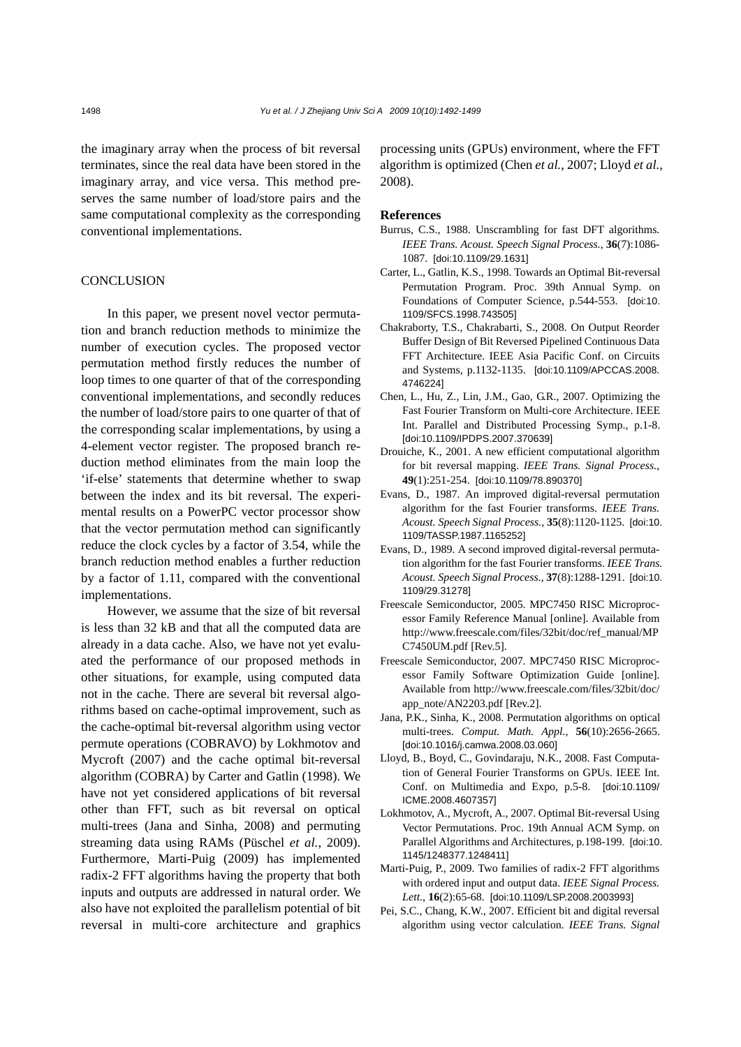the imaginary array when the process of bit reversal terminates, since the real data have been stored in the imaginary array, and vice versa. This method preserves the same number of load/store pairs and the same computational complexity as the corresponding conventional implementations.

### **CONCLUSION**

In this paper, we present novel vector permutation and branch reduction methods to minimize the number of execution cycles. The proposed vector permutation method firstly reduces the number of loop times to one quarter of that of the corresponding conventional implementations, and secondly reduces the number of load/store pairs to one quarter of that of the corresponding scalar implementations, by using a 4-element vector register. The proposed branch reduction method eliminates from the main loop the 'if-else' statements that determine whether to swap between the index and its bit reversal. The experimental results on a PowerPC vector processor show that the vector permutation method can significantly reduce the clock cycles by a factor of 3.54, while the branch reduction method enables a further reduction by a factor of 1.11, compared with the conventional implementations.

However, we assume that the size of bit reversal is less than 32 kB and that all the computed data are already in a data cache. Also, we have not yet evaluated the performance of our proposed methods in other situations, for example, using computed data not in the cache. There are several bit reversal algorithms based on cache-optimal improvement, such as the cache-optimal bit-reversal algorithm using vector permute operations (COBRAVO) by Lokhmotov and Mycroft (2007) and the cache optimal bit-reversal algorithm (COBRA) by Carter and Gatlin (1998). We have not yet considered applications of bit reversal other than FFT, such as bit reversal on optical multi-trees (Jana and Sinha, 2008) and permuting streaming data using RAMs (Püschel *et al.*, 2009). Furthermore, Marti-Puig (2009) has implemented radix-2 FFT algorithms having the property that both inputs and outputs are addressed in natural order. We also have not exploited the parallelism potential of bit reversal in multi-core architecture and graphics processing units (GPUs) environment, where the FFT algorithm is optimized (Chen *et al.*, 2007; Lloyd *et al.*, 2008).

#### **References**

- Burrus, C.S., 1988. Unscrambling for fast DFT algorithms. *IEEE Trans. Acoust. Speech Signal Process.*, **36**(7):1086- 1087. [doi:10.1109/29.1631]
- Carter, L., Gatlin, K.S., 1998. Towards an Optimal Bit-reversal Permutation Program. Proc. 39th Annual Symp. on Foundations of Computer Science, p.544-553. [doi:10. 1109/SFCS.1998.743505]
- Chakraborty, T.S., Chakrabarti, S., 2008. On Output Reorder Buffer Design of Bit Reversed Pipelined Continuous Data FFT Architecture. IEEE Asia Pacific Conf. on Circuits and Systems, p.1132-1135. [doi:10.1109/APCCAS.2008. 4746224]
- Chen, L., Hu, Z., Lin, J.M., Gao, G.R., 2007. Optimizing the Fast Fourier Transform on Multi-core Architecture. IEEE Int. Parallel and Distributed Processing Symp., p.1-8. [doi:10.1109/IPDPS.2007.370639]
- Drouiche, K., 2001. A new efficient computational algorithm for bit reversal mapping. *IEEE Trans. Signal Process.*, **49**(1):251-254. [doi:10.1109/78.890370]
- Evans, D., 1987. An improved digital-reversal permutation algorithm for the fast Fourier transforms. *IEEE Trans. Acoust. Speech Signal Process.*, **35**(8):1120-1125. [doi:10. 1109/TASSP.1987.1165252]
- Evans, D., 1989. A second improved digital-reversal permutation algorithm for the fast Fourier transforms. *IEEE Trans. Acoust. Speech Signal Process.*, **37**(8):1288-1291. [doi:10. 1109/29.31278]
- Freescale Semiconductor, 2005. MPC7450 RISC Microprocessor Family Reference Manual [online]. Available from http://www.freescale.com/files/32bit/doc/ref\_manual/MP C7450UM.pdf [Rev.5].
- Freescale Semiconductor, 2007. MPC7450 RISC Microprocessor Family Software Optimization Guide [online]. Available from http://www.freescale.com/files/32bit/doc/ app\_note/AN2203.pdf [Rev.2].
- Jana, P.K., Sinha, K., 2008. Permutation algorithms on optical multi-trees. *Comput. Math. Appl.*, **56**(10):2656-2665. [doi:10.1016/j.camwa.2008.03.060]
- Lloyd, B., Boyd, C., Govindaraju, N.K., 2008. Fast Computation of General Fourier Transforms on GPUs. IEEE Int. Conf. on Multimedia and Expo, p.5-8. [doi:10.1109/ ICME.2008.4607357]
- Lokhmotov, A., Mycroft, A., 2007. Optimal Bit-reversal Using Vector Permutations. Proc. 19th Annual ACM Symp. on Parallel Algorithms and Architectures, p.198-199. [doi:10. 1145/1248377.1248411]
- Marti-Puig, P., 2009. Two families of radix-2 FFT algorithms with ordered input and output data. *IEEE Signal Process. Lett.*, **16**(2):65-68. [doi:10.1109/LSP.2008.2003993]
- Pei, S.C., Chang, K.W., 2007. Efficient bit and digital reversal algorithm using vector calculation. *IEEE Trans. Signal*